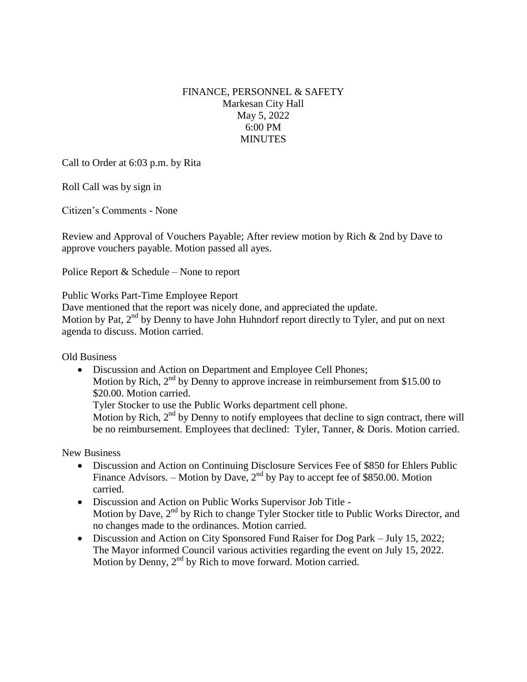## FINANCE, PERSONNEL & SAFETY Markesan City Hall May 5, 2022 6:00 PM **MINUTES**

Call to Order at 6:03 p.m. by Rita

Roll Call was by sign in

Citizen's Comments - None

Review and Approval of Vouchers Payable; After review motion by Rich & 2nd by Dave to approve vouchers payable. Motion passed all ayes.

Police Report & Schedule – None to report

## Public Works Part-Time Employee Report

Dave mentioned that the report was nicely done, and appreciated the update.

Motion by Pat,  $2<sup>nd</sup>$  by Denny to have John Huhndorf report directly to Tyler, and put on next agenda to discuss. Motion carried.

Old Business

• Discussion and Action on Department and Employee Cell Phones; Motion by Rich,  $2<sup>nd</sup>$  by Denny to approve increase in reimbursement from \$15.00 to \$20.00. Motion carried. Tyler Stocker to use the Public Works department cell phone.

Motion by Rich,  $2<sup>nd</sup>$  by Denny to notify employees that decline to sign contract, there will be no reimbursement. Employees that declined: Tyler, Tanner, & Doris. Motion carried.

New Business

- Discussion and Action on Continuing Disclosure Services Fee of \$850 for Ehlers Public Finance Advisors. – Motion by Dave,  $2<sup>nd</sup>$  by Pay to accept fee of \$850.00. Motion carried.
- Discussion and Action on Public Works Supervisor Job Title Motion by Dave, 2<sup>nd</sup> by Rich to change Tyler Stocker title to Public Works Director, and no changes made to the ordinances. Motion carried.
- Discussion and Action on City Sponsored Fund Raiser for Dog Park July 15, 2022; The Mayor informed Council various activities regarding the event on July 15, 2022. Motion by Denny, 2<sup>nd</sup> by Rich to move forward. Motion carried.